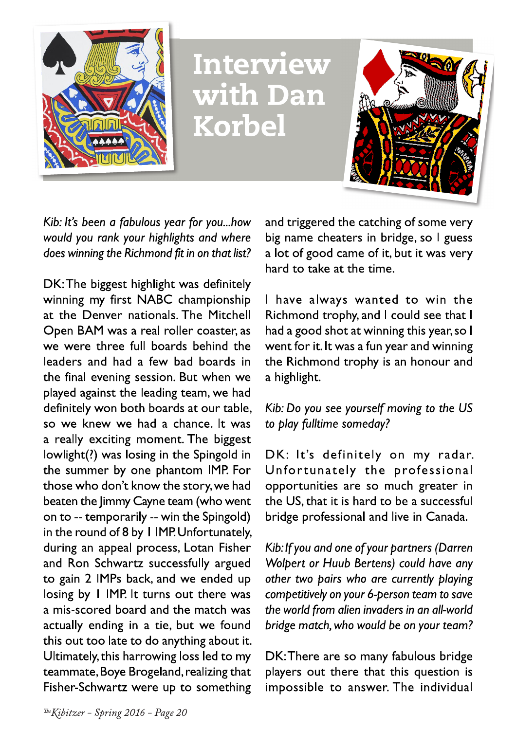

Interview with Dan **Korbel** 



Kib: It's been a fabulous year for you...how would you rank your highlights and where does winning the Richmond fit in on that list?

DK: The biggest highlight was definitely winning my first NABC championship at the Denver nationals. The Mitchell Open BAM was a real roller coaster, as we were three full boards behind the leaders and had a few bad boards in the final evening session. But when we played against the leading team, we had definitely won both boards at our table, so we knew we had a chance. It was a really exciting moment. The biggest lowlight(?) was losing in the Spingold in the summer by one phantom IMP. For those who don't know the story, we had beaten the Jimmy Cayne team (who went on to -- temporarily -- win the Spingold) in the round of 8 by 1 IMP. Unfortunately, during an appeal process, Lotan Fisher and Ron Schwartz successfully argued to gain 2 IMPs back, and we ended up losing by 1 IMP. It turns out there was a mis-scored board and the match was actually ending in a tie, but we found this out too late to do anything about it. Ultimately, this harrowing loss led to my teammate, Boye Brogeland, realizing that Fisher-Schwartz were up to something and triggered the catching of some very big name cheaters in bridge, so I guess a lot of good came of it, but it was very hard to take at the time.

I have always wanted to win the Richmond trophy, and I could see that I had a good shot at winning this year, so I went for it. It was a fun year and winning the Richmond trophy is an honour and a highlight.

## Kib: Do you see yourself moving to the US to play fulltime someday?

DK: It's definitely on my radar. Unfortunately the professional opportunities are so much greater in the US, that it is hard to be a successful bridge professional and live in Canada.

Kib: If you and one of your partners (Darren Wolpert or Huub Bertens) could have any other two pairs who are currently playing competitively on your 6-person team to save the world from alien invaders in an all-world bridge match, who would be on your team?

DK: There are so many fabulous bridge players out there that this question is impossible to answer. The individual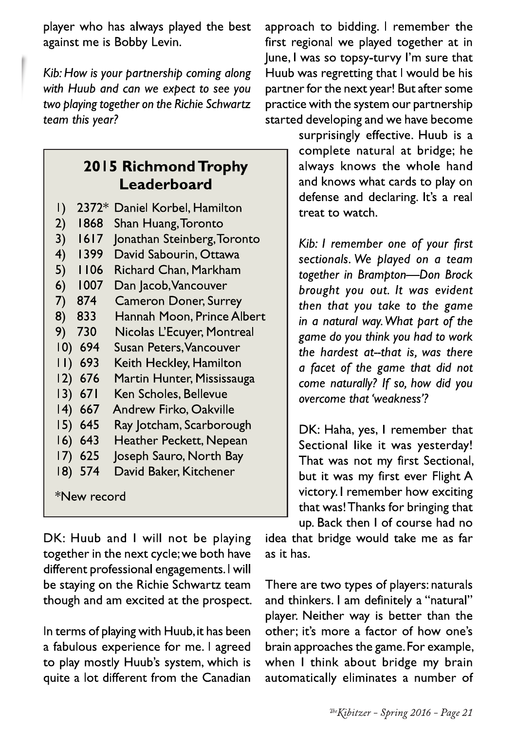player who has always played the best against me is Bobby Levin.

Kib: How is your partnership coming along with Huub and can we expect to see you two playing together on the Richie Schwartz team this year?

## 2015 Richmond Trophy Leaderboard

- 2372\* Daniel Korbel, Hamilton  $\vert$ )
- $2)$ 1868 Shan Huang, Toronto
- Jonathan Steinberg, Toronto  $1617$  $3)$
- David Sabourin, Ottawa  $4)$ 1399
- **Richard Chan, Markham**  $5)$ 1106
- 1007  $6)$ Dan Jacob, Vancouver
- $7)$ 874 **Cameron Doner, Surrey**
- 833  $8)$ Hannah Moon, Prince Albert
- Nicolas L'Ecuyer, Montreal 9) 730
- $100694$ Susan Peters, Vancouver
- $11) 693$ Keith Heckley, Hamilton
- Martin Hunter, Mississauga 12) 676
- Ken Scholes, Bellevue  $13) 671$
- $14) 667$ Andrew Firko, Oakville
- $15) 645$ Ray Jotcham, Scarborough
- $16) 643$ Heather Peckett, Nepean
- $17)$  625 Joseph Sauro, North Bay
- 18) 574 David Baker, Kitchener

\*New record

DK: Huub and I will not be playing together in the next cycle; we both have different professional engagements. I will be staying on the Richie Schwartz team though and am excited at the prospect.

In terms of playing with Huub, it has been a fabulous experience for me. I agreed to play mostly Huub's system, which is quite a lot different from the Canadian

approach to bidding. I remember the first regional we played together at in June, I was so topsy-turvy I'm sure that Huub was regretting that I would be his partner for the next year! But after some practice with the system our partnership started developing and we have become

surprisingly effective. Huub is a complete natural at bridge; he always knows the whole hand and knows what cards to play on defense and declaring. It's a real treat to watch.

Kib: I remember one of your first sectionals. We played on a team together in Brampton-Don Brock brought you out. It was evident then that you take to the game in a natural way. What part of the game do you think you had to work the hardest at--that is, was there a facet of the game that did not come naturally? If so, how did you overcome that 'weakness'?

DK: Haha, yes, I remember that Sectional like it was yesterday! That was not my first Sectional, but it was my first ever Flight A victory. I remember how exciting that was! Thanks for bringing that up. Back then I of course had no

idea that bridge would take me as far as it has.

There are two types of players: naturals and thinkers. I am definitely a "natural" player. Neither way is better than the other; it's more a factor of how one's brain approaches the game. For example, when I think about bridge my brain automatically eliminates a number of

The Kibitzer - Spring 2016 - Page 21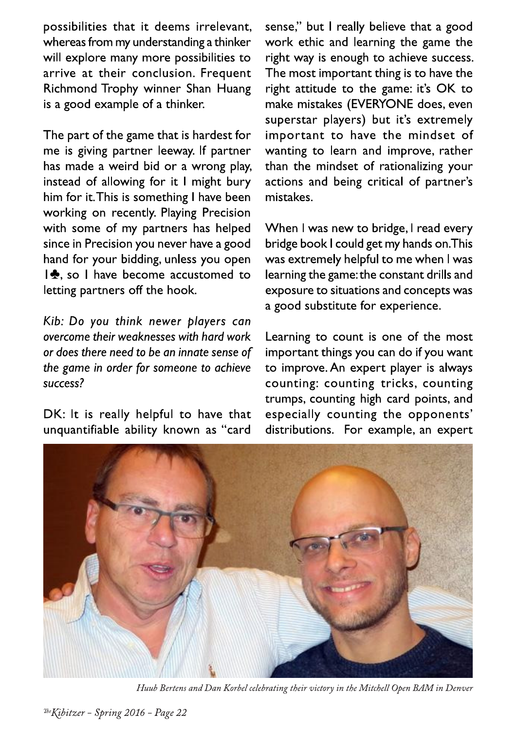possibilities that it deems irrelevant, whereas from my understanding a thinker will explore many more possibilities to arrive at their conclusion. Frequent Richmond Trophy winner Shan Huang is a good example of a thinker.

The part of the game that is hardest for me is giving partner leeway. If partner has made a weird bid or a wrong play, instead of allowing for it I might bury him for it. This is something I have been working on recently. Playing Precision with some of my partners has helped since in Precision you never have a good hand for your bidding, unless you open  $\frac{1}{2}$ , so I have become accustomed to letting partners off the hook.

Kib: Do you think newer players can overcome their weaknesses with hard work or does there need to be an innate sense of the game in order for someone to achieve success?

DK: It is really helpful to have that unquantifiable ability known as "card

sense," but I really believe that a good work ethic and learning the game the right way is enough to achieve success. The most important thing is to have the right attitude to the game: it's OK to make mistakes (EVERYONE does, even superstar players) but it's extremely important to have the mindset of wanting to learn and improve, rather than the mindset of rationalizing your actions and being critical of partner's mistakes.

When I was new to bridge, I read every bridge book I could get my hands on. This was extremely helpful to me when I was learning the game: the constant drills and exposure to situations and concepts was a good substitute for experience.

Learning to count is one of the most important things you can do if you want to improve. An expert player is always counting: counting tricks, counting trumps, counting high card points, and especially counting the opponents' distributions. For example, an expert



Huub Bertens and Dan Korbel celebrating their victory in the Mitchell Open BAM in Denver

The Kibitzer - Spring 2016 - Page 22